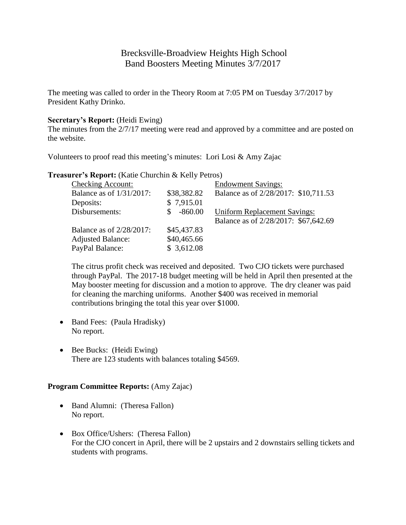# Brecksville-Broadview Heights High School Band Boosters Meeting Minutes 3/7/2017

The meeting was called to order in the Theory Room at 7:05 PM on Tuesday 3/7/2017 by President Kathy Drinko.

#### **Secretary's Report:** (Heidi Ewing)

The minutes from the 2/7/17 meeting were read and approved by a committee and are posted on the website.

Volunteers to proof read this meeting's minutes: Lori Losi & Amy Zajac

**Treasurer's Report:** (Katie Churchin & Kelly Petros)

| <b>Checking Account:</b> |             | <b>Endowment Savings:</b>            |
|--------------------------|-------------|--------------------------------------|
| Balance as of 1/31/2017: | \$38,382.82 | Balance as of 2/28/2017: \$10,711.53 |
| Deposits:                | \$7,915.01  |                                      |
| Disbursements:           | -860.00     | <b>Uniform Replacement Savings:</b>  |
|                          |             | Balance as of 2/28/2017: \$67,642.69 |
| Balance as of 2/28/2017: | \$45,437.83 |                                      |
| <b>Adjusted Balance:</b> | \$40,465.66 |                                      |
| PayPal Balance:          | \$3,612.08  |                                      |

The citrus profit check was received and deposited. Two CJO tickets were purchased through PayPal. The 2017-18 budget meeting will be held in April then presented at the May booster meeting for discussion and a motion to approve. The dry cleaner was paid for cleaning the marching uniforms. Another \$400 was received in memorial contributions bringing the total this year over \$1000.

- Band Fees: (Paula Hradisky) No report.
- Bee Bucks: (Heidi Ewing) There are 123 students with balances totaling \$4569.

# **Program Committee Reports:** (Amy Zajac)

- Band Alumni: (Theresa Fallon) No report.
- Box Office/Ushers: (Theresa Fallon) For the CJO concert in April, there will be 2 upstairs and 2 downstairs selling tickets and students with programs.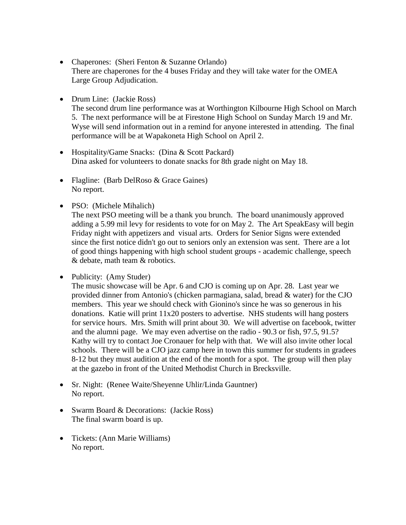- Chaperones: (Sheri Fenton & Suzanne Orlando) There are chaperones for the 4 buses Friday and they will take water for the OMEA Large Group Adjudication.
- Drum Line: (Jackie Ross)

The second drum line performance was at Worthington Kilbourne High School on March 5. The next performance will be at Firestone High School on Sunday March 19 and Mr. Wyse will send information out in a remind for anyone interested in attending. The final performance will be at Wapakoneta High School on April 2.

- Hospitality/Game Snacks: (Dina & Scott Packard) Dina asked for volunteers to donate snacks for 8th grade night on May 18.
- Flagline: (Barb DelRoso & Grace Gaines) No report.
- PSO: (Michele Mihalich)

The next PSO meeting will be a thank you brunch. The board unanimously approved adding a 5.99 mil levy for residents to vote for on May 2. The Art SpeakEasy will begin Friday night with appetizers and visual arts. Orders for Senior Signs were extended since the first notice didn't go out to seniors only an extension was sent. There are a lot of good things happening with high school student groups - academic challenge, speech & debate, math team & robotics.

• Publicity: (Amy Studer)

The music showcase will be Apr. 6 and CJO is coming up on Apr. 28. Last year we provided dinner from Antonio's (chicken parmagiana, salad, bread & water) for the CJO members. This year we should check with Gionino's since he was so generous in his donations. Katie will print 11x20 posters to advertise. NHS students will hang posters for service hours. Mrs. Smith will print about 30. We will advertise on facebook, twitter and the alumni page. We may even advertise on the radio - 90.3 or fish, 97.5, 91.5? Kathy will try to contact Joe Cronauer for help with that. We will also invite other local schools. There will be a CJO jazz camp here in town this summer for students in gradees 8-12 but they must audition at the end of the month for a spot. The group will then play at the gazebo in front of the United Methodist Church in Brecksville.

- Sr. Night: (Renee Waite/Sheyenne Uhlir/Linda Gauntner) No report.
- Swarm Board & Decorations: (Jackie Ross) The final swarm board is up.
- Tickets: (Ann Marie Williams) No report.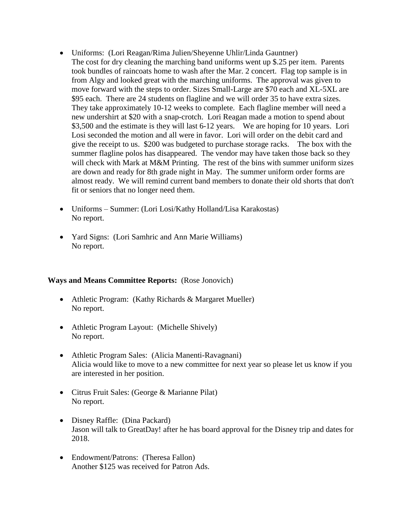- Uniforms: (Lori Reagan/Rima Julien/Sheyenne Uhlir/Linda Gauntner) The cost for dry cleaning the marching band uniforms went up \$.25 per item. Parents took bundles of raincoats home to wash after the Mar. 2 concert. Flag top sample is in from Algy and looked great with the marching uniforms. The approval was given to move forward with the steps to order. Sizes Small-Large are \$70 each and XL-5XL are \$95 each. There are 24 students on flagline and we will order 35 to have extra sizes. They take approximately 10-12 weeks to complete. Each flagline member will need a new undershirt at \$20 with a snap-crotch. Lori Reagan made a motion to spend about \$3,500 and the estimate is they will last 6-12 years. We are hoping for 10 years. Lori Losi seconded the motion and all were in favor. Lori will order on the debit card and give the receipt to us. \$200 was budgeted to purchase storage racks. The box with the summer flagline polos has disappeared. The vendor may have taken those back so they will check with Mark at M&M Printing. The rest of the bins with summer uniform sizes are down and ready for 8th grade night in May. The summer uniform order forms are almost ready. We will remind current band members to donate their old shorts that don't fit or seniors that no longer need them.
- Uniforms Summer: (Lori Losi/Kathy Holland/Lisa Karakostas) No report.
- Yard Signs: (Lori Samhric and Ann Marie Williams) No report.

#### **Ways and Means Committee Reports:** (Rose Jonovich)

- Athletic Program: (Kathy Richards & Margaret Mueller) No report.
- Athletic Program Layout: (Michelle Shively) No report.
- Athletic Program Sales: (Alicia Manenti-Ravagnani) Alicia would like to move to a new committee for next year so please let us know if you are interested in her position.
- Citrus Fruit Sales: (George & Marianne Pilat) No report.
- Disney Raffle: (Dina Packard) Jason will talk to GreatDay! after he has board approval for the Disney trip and dates for 2018.
- Endowment/Patrons: (Theresa Fallon) Another \$125 was received for Patron Ads.